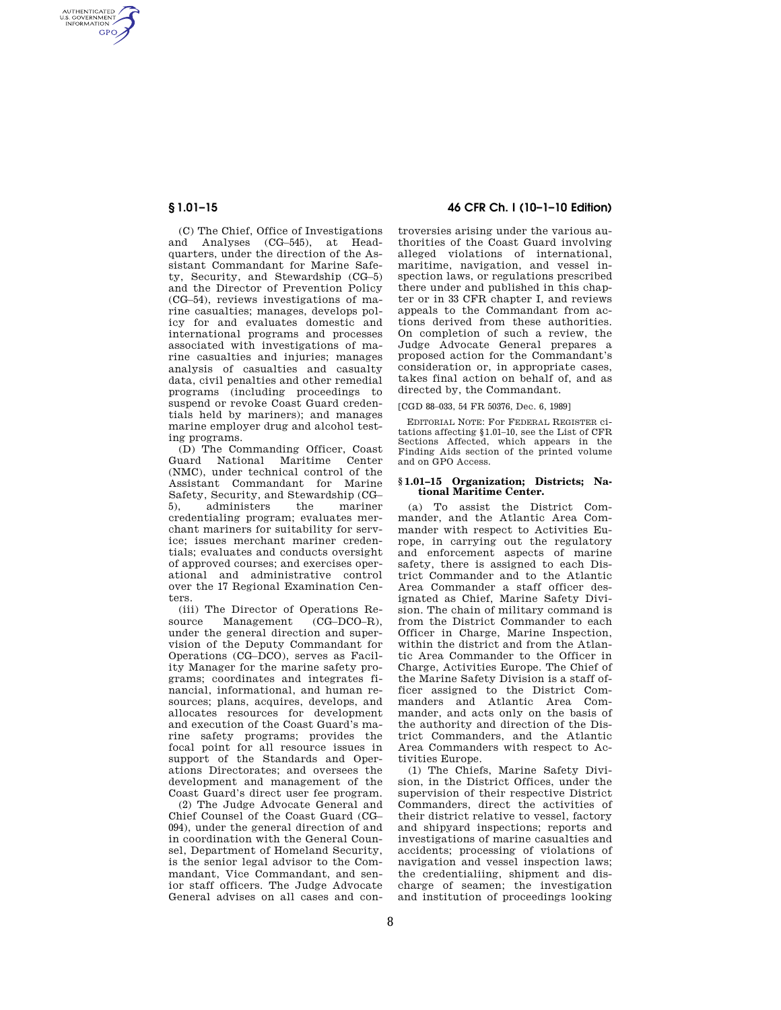AUTHENTICATED<br>U.S. GOVERNMENT<br>INFORMATION **GPO** 

> (C) The Chief, Office of Investigations and Analyses (CG–545), at Headquarters, under the direction of the Assistant Commandant for Marine Safety, Security, and Stewardship (CG–5) and the Director of Prevention Policy (CG–54), reviews investigations of marine casualties; manages, develops policy for and evaluates domestic and international programs and processes associated with investigations of marine casualties and injuries; manages analysis of casualties and casualty data, civil penalties and other remedial programs (including proceedings to suspend or revoke Coast Guard credentials held by mariners); and manages marine employer drug and alcohol testing programs.

> (D) The Commanding Officer, Coast Guard National Maritime (NMC), under technical control of the Assistant Commandant for Marine Safety, Security, and Stewardship (CG– 5), administers the mariner credentialing program; evaluates merchant mariners for suitability for service; issues merchant mariner credentials; evaluates and conducts oversight of approved courses; and exercises operational and administrative control over the 17 Regional Examination Centers.

> (iii) The Director of Operations Resource Management (CG–DCO–R) under the general direction and supervision of the Deputy Commandant for Operations (CG–DCO), serves as Facility Manager for the marine safety programs; coordinates and integrates financial, informational, and human resources; plans, acquires, develops, and allocates resources for development and execution of the Coast Guard's marine safety programs; provides the focal point for all resource issues in support of the Standards and Operations Directorates; and oversees the development and management of the Coast Guard's direct user fee program.

> (2) The Judge Advocate General and Chief Counsel of the Coast Guard (CG– 094), under the general direction of and in coordination with the General Counsel, Department of Homeland Security, is the senior legal advisor to the Commandant, Vice Commandant, and senior staff officers. The Judge Advocate General advises on all cases and con-

# **§ 1.01–15 46 CFR Ch. I (10–1–10 Edition)**

troversies arising under the various authorities of the Coast Guard involving alleged violations of international, maritime, navigation, and vessel inspection laws, or regulations prescribed there under and published in this chapter or in 33 CFR chapter I, and reviews appeals to the Commandant from actions derived from these authorities. On completion of such a review, the Judge Advocate General prepares a proposed action for the Commandant's consideration or, in appropriate cases, takes final action on behalf of, and as directed by, the Commandant.

## [CGD 88–033, 54 FR 50376, Dec. 6, 1989]

EDITORIAL NOTE: For FEDERAL REGISTER citations affecting §1.01–10, see the List of CFR Sections Affected, which appears in the Finding Aids section of the printed volume and on GPO Access.

### **§ 1.01–15 Organization; Districts; National Maritime Center.**

(a) To assist the District Commander, and the Atlantic Area Commander with respect to Activities Europe, in carrying out the regulatory and enforcement aspects of marine safety, there is assigned to each District Commander and to the Atlantic Area Commander a staff officer designated as Chief, Marine Safety Division. The chain of military command is from the District Commander to each Officer in Charge, Marine Inspection, within the district and from the Atlantic Area Commander to the Officer in Charge, Activities Europe. The Chief of the Marine Safety Division is a staff officer assigned to the District Commanders and Atlantic Area Commander, and acts only on the basis of the authority and direction of the District Commanders, and the Atlantic Area Commanders with respect to Activities Europe.

(1) The Chiefs, Marine Safety Division, in the District Offices, under the supervision of their respective District Commanders, direct the activities of their district relative to vessel, factory and shipyard inspections; reports and investigations of marine casualties and accidents; processing of violations of navigation and vessel inspection laws; the credentialiing, shipment and discharge of seamen; the investigation and institution of proceedings looking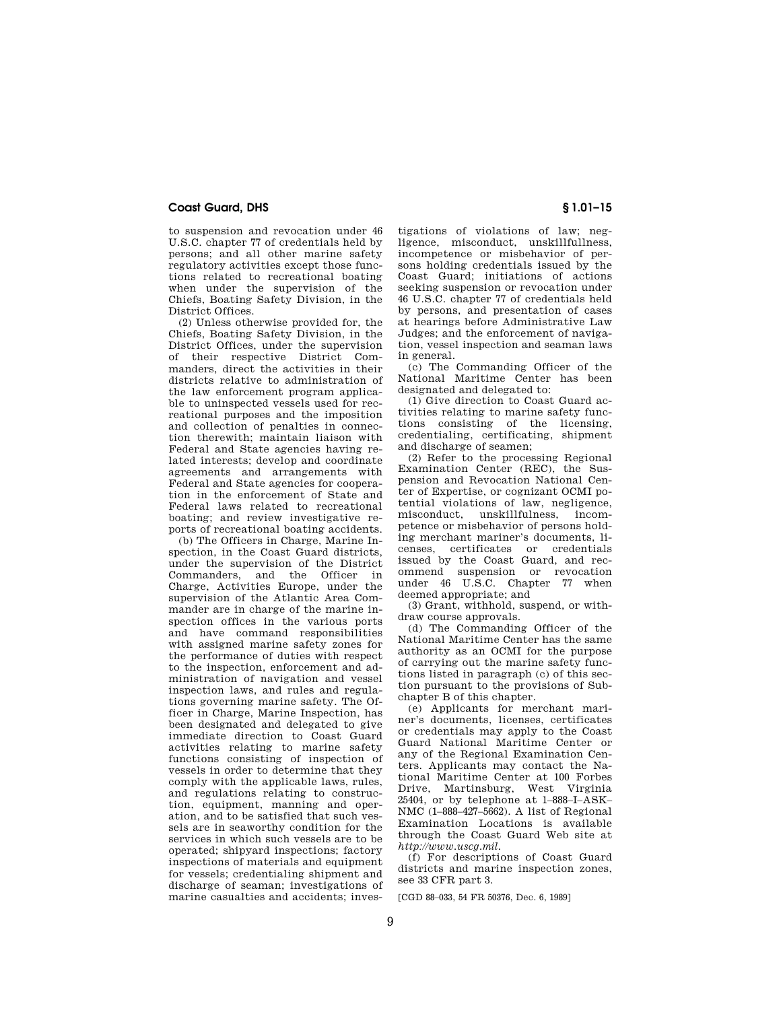## **Coast Guard, DHS § 1.01–15**

to suspension and revocation under 46 U.S.C. chapter 77 of credentials held by persons; and all other marine safety regulatory activities except those functions related to recreational boating when under the supervision of the Chiefs, Boating Safety Division, in the District Offices.

(2) Unless otherwise provided for, the Chiefs, Boating Safety Division, in the District Offices, under the supervision of their respective District Commanders, direct the activities in their districts relative to administration of the law enforcement program applicable to uninspected vessels used for recreational purposes and the imposition and collection of penalties in connection therewith; maintain liaison with Federal and State agencies having related interests; develop and coordinate agreements and arrangements with Federal and State agencies for cooperation in the enforcement of State and Federal laws related to recreational boating; and review investigative reports of recreational boating accidents.

(b) The Officers in Charge, Marine Inspection, in the Coast Guard districts, under the supervision of the District Commanders, and the Officer in Charge, Activities Europe, under the supervision of the Atlantic Area Commander are in charge of the marine inspection offices in the various ports and have command responsibilities with assigned marine safety zones for the performance of duties with respect to the inspection, enforcement and administration of navigation and vessel inspection laws, and rules and regulations governing marine safety. The Officer in Charge, Marine Inspection, has been designated and delegated to give immediate direction to Coast Guard activities relating to marine safety functions consisting of inspection of vessels in order to determine that they comply with the applicable laws, rules, and regulations relating to construction, equipment, manning and operation, and to be satisfied that such vessels are in seaworthy condition for the services in which such vessels are to be operated; shipyard inspections; factory inspections of materials and equipment for vessels; credentialing shipment and discharge of seaman; investigations of marine casualties and accidents; investigations of violations of law; negligence, misconduct, unskillfullness, incompetence or misbehavior of persons holding credentials issued by the Coast Guard; initiations of actions seeking suspension or revocation under 46 U.S.C. chapter 77 of credentials held by persons, and presentation of cases at hearings before Administrative Law Judges; and the enforcement of navigation, vessel inspection and seaman laws in general.

(c) The Commanding Officer of the National Maritime Center has been designated and delegated to:

(1) Give direction to Coast Guard activities relating to marine safety functions consisting of the licensing, credentialing, certificating, shipment and discharge of seamen;

(2) Refer to the processing Regional Examination Center (REC), the Suspension and Revocation National Center of Expertise, or cognizant OCMI potential violations of law, negligence, misconduct, unskillfulness, incompetence or misbehavior of persons holding merchant mariner's documents, licenses, certificates or credentials issued by the Coast Guard, and recommend suspension or revocation under 46 U.S.C. Chapter 77 when deemed appropriate; and

(3) Grant, withhold, suspend, or withdraw course approvals.

(d) The Commanding Officer of the National Maritime Center has the same authority as an OCMI for the purpose of carrying out the marine safety functions listed in paragraph (c) of this section pursuant to the provisions of Subchapter B of this chapter.

(e) Applicants for merchant mariner's documents, licenses, certificates or credentials may apply to the Coast Guard National Maritime Center or any of the Regional Examination Centers. Applicants may contact the National Maritime Center at 100 Forbes Drive, Martinsburg, West Virginia 25404, or by telephone at 1–888–I–ASK– NMC (1–888–427–5662). A list of Regional Examination Locations is available through the Coast Guard Web site at *http://www.uscg.mil.* 

(f) For descriptions of Coast Guard districts and marine inspection zones, see 33 CFR part 3.

[CGD 88–033, 54 FR 50376, Dec. 6, 1989]